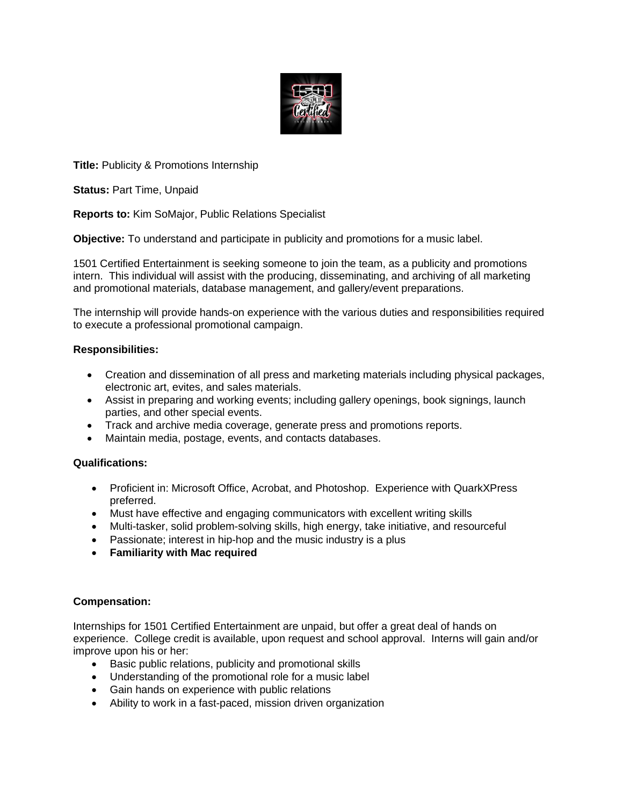

**Title:** Publicity & Promotions Internship

**Status:** Part Time, Unpaid

**Reports to:** Kim SoMajor, Public Relations Specialist

**Objective:** To understand and participate in publicity and promotions for a music label.

1501 Certified Entertainment is seeking someone to join the team, as a publicity and promotions intern. This individual will assist with the producing, disseminating, and archiving of all marketing and promotional materials, database management, and gallery/event preparations.

The internship will provide hands-on experience with the various duties and responsibilities required to execute a professional promotional campaign.

# **Responsibilities:**

- Creation and dissemination of all press and marketing materials including physical packages, electronic art, evites, and sales materials.
- Assist in preparing and working events; including gallery openings, book signings, launch parties, and other special events.
- Track and archive media coverage, generate press and promotions reports.
- Maintain media, postage, events, and contacts databases.

### **Qualifications:**

- Proficient in: Microsoft Office, Acrobat, and Photoshop. Experience with QuarkXPress preferred.
- Must have effective and engaging communicators with excellent writing skills
- Multi-tasker, solid problem-solving skills, high energy, take initiative, and resourceful
- Passionate; interest in hip-hop and the music industry is a plus
- **Familiarity with Mac required**

### **Compensation:**

Internships for 1501 Certified Entertainment are unpaid, but offer a great deal of hands on experience. College credit is available, upon request and school approval. Interns will gain and/or improve upon his or her:

- Basic public relations, publicity and promotional skills
- Understanding of the promotional role for a music label
- Gain hands on experience with public relations
- Ability to work in a fast-paced, mission driven organization